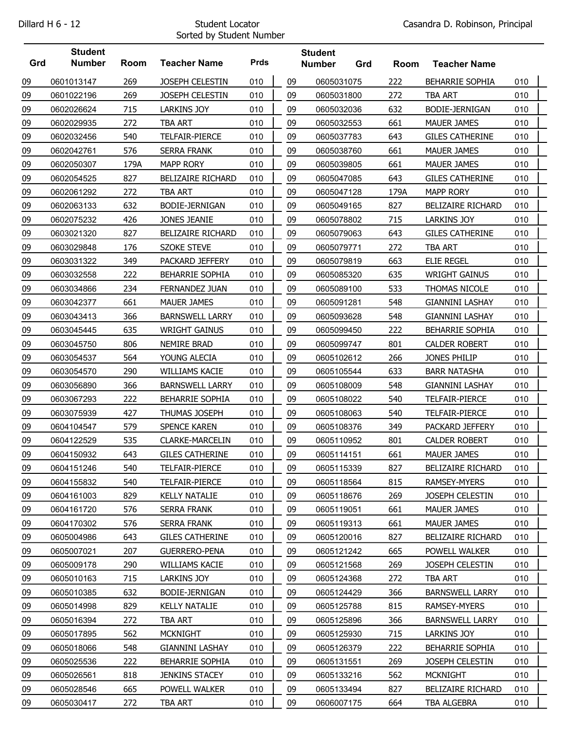## Sorted by Student Number

|     | <b>Student</b> |      |                          |             |    | <b>Student</b> |     |      |                          |     |  |
|-----|----------------|------|--------------------------|-------------|----|----------------|-----|------|--------------------------|-----|--|
| Grd | <b>Number</b>  | Room | <b>Teacher Name</b>      | <b>Prds</b> |    | <b>Number</b>  | Grd | Room | <b>Teacher Name</b>      |     |  |
| 09  | 0601013147     | 269  | JOSEPH CELESTIN          | 010         | 09 | 0605031075     |     | 222  | <b>BEHARRIE SOPHIA</b>   | 010 |  |
| 09  | 0601022196     | 269  | JOSEPH CELESTIN          | 010         | 09 | 0605031800     |     | 272  | <b>TBA ART</b>           | 010 |  |
| 09  | 0602026624     | 715  | <b>LARKINS JOY</b>       | 010         | 09 | 0605032036     |     | 632  | BODIE-JERNIGAN           | 010 |  |
| 09  | 0602029935     | 272  | <b>TBA ART</b>           | 010         | 09 | 0605032553     |     | 661  | <b>MAUER JAMES</b>       | 010 |  |
| 09  | 0602032456     | 540  | TELFAIR-PIERCE           | 010         | 09 | 0605037783     |     | 643  | <b>GILES CATHERINE</b>   | 010 |  |
| 09  | 0602042761     | 576  | <b>SERRA FRANK</b>       | 010         | 09 | 0605038760     |     | 661  | <b>MAUER JAMES</b>       | 010 |  |
| 09  | 0602050307     | 179A | <b>MAPP RORY</b>         | 010         | 09 | 0605039805     |     | 661  | MAUER JAMES              | 010 |  |
| 09  | 0602054525     | 827  | <b>BELIZAIRE RICHARD</b> | 010         | 09 | 0605047085     |     | 643  | <b>GILES CATHERINE</b>   | 010 |  |
| 09  | 0602061292     | 272  | <b>TBA ART</b>           | 010         | 09 | 0605047128     |     | 179A | <b>MAPP RORY</b>         | 010 |  |
| 09  | 0602063133     | 632  | BODIE-JERNIGAN           | 010         | 09 | 0605049165     |     | 827  | <b>BELIZAIRE RICHARD</b> | 010 |  |
| 09  | 0602075232     | 426  | JONES JEANIE             | 010         | 09 | 0605078802     |     | 715  | <b>LARKINS JOY</b>       | 010 |  |
| 09  | 0603021320     | 827  | <b>BELIZAIRE RICHARD</b> | 010         | 09 | 0605079063     |     | 643  | <b>GILES CATHERINE</b>   | 010 |  |
| 09  | 0603029848     | 176  | <b>SZOKE STEVE</b>       | 010         | 09 | 0605079771     |     | 272  | <b>TBA ART</b>           | 010 |  |
| 09  | 0603031322     | 349  | PACKARD JEFFERY          | 010         | 09 | 0605079819     |     | 663  | <b>ELIE REGEL</b>        | 010 |  |
| 09  | 0603032558     | 222  | BEHARRIE SOPHIA          | 010         | 09 | 0605085320     |     | 635  | <b>WRIGHT GAINUS</b>     | 010 |  |
| 09  | 0603034866     | 234  | FERNANDEZ JUAN           | 010         | 09 | 0605089100     |     | 533  | THOMAS NICOLE            | 010 |  |
| 09  | 0603042377     | 661  | <b>MAUER JAMES</b>       | 010         | 09 | 0605091281     |     | 548  | <b>GIANNINI LASHAY</b>   | 010 |  |
| 09  | 0603043413     | 366  | <b>BARNSWELL LARRY</b>   | 010         | 09 | 0605093628     |     | 548  | <b>GIANNINI LASHAY</b>   | 010 |  |
| 09  | 0603045445     | 635  | <b>WRIGHT GAINUS</b>     | 010         | 09 | 0605099450     |     | 222  | BEHARRIE SOPHIA          | 010 |  |
| 09  | 0603045750     | 806  | NEMIRE BRAD              | 010         | 09 | 0605099747     |     | 801  | <b>CALDER ROBERT</b>     | 010 |  |
| 09  | 0603054537     | 564  | YOUNG ALECIA             | 010         | 09 | 0605102612     |     | 266  | JONES PHILIP             | 010 |  |
| 09  | 0603054570     | 290  | <b>WILLIAMS KACIE</b>    | 010         | 09 | 0605105544     |     | 633  | <b>BARR NATASHA</b>      | 010 |  |
| 09  | 0603056890     | 366  | <b>BARNSWELL LARRY</b>   | 010         | 09 | 0605108009     |     | 548  | <b>GIANNINI LASHAY</b>   | 010 |  |
| 09  | 0603067293     | 222  | BEHARRIE SOPHIA          | 010         | 09 | 0605108022     |     | 540  | TELFAIR-PIERCE           | 010 |  |
| 09  | 0603075939     | 427  | THUMAS JOSEPH            | 010         | 09 | 0605108063     |     | 540  | TELFAIR-PIERCE           | 010 |  |
| 09  | 0604104547     | 579  | <b>SPENCE KAREN</b>      | 010         | 09 | 0605108376     |     | 349  | PACKARD JEFFERY          | 010 |  |
| 09  | 0604122529     | 535  | CLARKE-MARCELIN          | 010         | 09 | 0605110952     |     | 801  | <b>CALDER ROBERT</b>     | 010 |  |
| 09  | 0604150932     | 643  | <b>GILES CATHERINE</b>   | 010         | 09 | 0605114151     |     | 661  | <b>MAUER JAMES</b>       | 010 |  |
| 09  | 0604151246     | 540  | TELFAIR-PIERCE           | 010         | 09 | 0605115339     |     | 827  | BELIZAIRE RICHARD        | 010 |  |
| 09  | 0604155832     | 540  | TELFAIR-PIERCE           | 010         | 09 | 0605118564     |     | 815  | RAMSEY-MYERS             | 010 |  |
| 09  | 0604161003     | 829  | <b>KELLY NATALIE</b>     | 010         | 09 | 0605118676     |     | 269  | <b>JOSEPH CELESTIN</b>   | 010 |  |
| 09  | 0604161720     | 576  | <b>SERRA FRANK</b>       | 010         | 09 | 0605119051     |     | 661  | MAUER JAMES              | 010 |  |
| 09  | 0604170302     | 576  | <b>SERRA FRANK</b>       | 010         | 09 | 0605119313     |     | 661  | MAUER JAMES              | 010 |  |
| 09  | 0605004986     | 643  | <b>GILES CATHERINE</b>   | 010         | 09 | 0605120016     |     | 827  | <b>BELIZAIRE RICHARD</b> | 010 |  |
| 09  | 0605007021     | 207  | <b>GUERRERO-PENA</b>     | 010         | 09 | 0605121242     |     | 665  | POWELL WALKER            | 010 |  |
| 09  | 0605009178     | 290  | WILLIAMS KACIE           | 010         | 09 | 0605121568     |     | 269  | JOSEPH CELESTIN          | 010 |  |
| 09  | 0605010163     | 715  | LARKINS JOY              | 010         | 09 | 0605124368     |     | 272  | TBA ART                  | 010 |  |
| 09  | 0605010385     | 632  | BODIE-JERNIGAN           | 010         | 09 | 0605124429     |     | 366  | <b>BARNSWELL LARRY</b>   | 010 |  |
| 09  | 0605014998     | 829  | <b>KELLY NATALIE</b>     | 010         | 09 | 0605125788     |     | 815  | RAMSEY-MYERS             | 010 |  |
| 09  | 0605016394     | 272  | TBA ART                  | 010         | 09 | 0605125896     |     | 366  | <b>BARNSWELL LARRY</b>   | 010 |  |
| 09  | 0605017895     | 562  | <b>MCKNIGHT</b>          | 010         | 09 | 0605125930     |     | 715  | LARKINS JOY              | 010 |  |
| 09  | 0605018066     | 548  | <b>GIANNINI LASHAY</b>   | 010         | 09 | 0605126379     |     | 222  | BEHARRIE SOPHIA          | 010 |  |
| 09  | 0605025536     | 222  | <b>BEHARRIE SOPHIA</b>   | 010         | 09 | 0605131551     |     | 269  | <b>JOSEPH CELESTIN</b>   | 010 |  |
| 09  | 0605026561     | 818  | <b>JENKINS STACEY</b>    | 010         | 09 | 0605133216     |     | 562  | <b>MCKNIGHT</b>          | 010 |  |
| 09  | 0605028546     | 665  | POWELL WALKER            | 010         | 09 | 0605133494     |     | 827  | BELIZAIRE RICHARD        | 010 |  |
| 09  | 0605030417     | 272  | TBA ART                  | 010         | 09 | 0606007175     |     | 664  | TBA ALGEBRA              | 010 |  |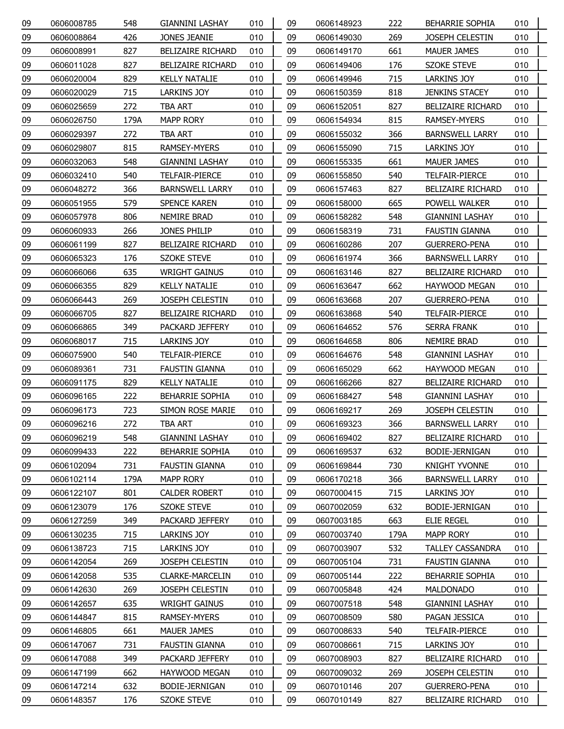| 09 | 0606008785 | 548  | <b>GIANNINI LASHAY</b>   | 010 | 09 | 0606148923 | 222  | <b>BEHARRIE SOPHIA</b>   | 010 |
|----|------------|------|--------------------------|-----|----|------------|------|--------------------------|-----|
| 09 | 0606008864 | 426  | JONES JEANIE             | 010 | 09 | 0606149030 | 269  | JOSEPH CELESTIN          | 010 |
| 09 | 0606008991 | 827  | <b>BELIZAIRE RICHARD</b> | 010 | 09 | 0606149170 | 661  | <b>MAUER JAMES</b>       | 010 |
| 09 | 0606011028 | 827  | <b>BELIZAIRE RICHARD</b> | 010 | 09 | 0606149406 | 176  | <b>SZOKE STEVE</b>       | 010 |
| 09 | 0606020004 | 829  | <b>KELLY NATALIE</b>     | 010 | 09 | 0606149946 | 715  | LARKINS JOY              | 010 |
| 09 | 0606020029 | 715  | <b>LARKINS JOY</b>       | 010 | 09 | 0606150359 | 818  | <b>JENKINS STACEY</b>    | 010 |
| 09 | 0606025659 | 272  | TBA ART                  | 010 | 09 | 0606152051 | 827  | <b>BELIZAIRE RICHARD</b> | 010 |
| 09 | 0606026750 | 179A | <b>MAPP RORY</b>         | 010 | 09 | 0606154934 | 815  | RAMSEY-MYERS             | 010 |
| 09 | 0606029397 | 272  | TBA ART                  | 010 | 09 | 0606155032 | 366  | <b>BARNSWELL LARRY</b>   | 010 |
| 09 | 0606029807 | 815  | <b>RAMSEY-MYERS</b>      | 010 | 09 | 0606155090 | 715  | <b>LARKINS JOY</b>       | 010 |
| 09 | 0606032063 | 548  | <b>GIANNINI LASHAY</b>   | 010 | 09 | 0606155335 | 661  | MAUER JAMES              | 010 |
| 09 | 0606032410 | 540  | TELFAIR-PIERCE           | 010 | 09 | 0606155850 | 540  | TELFAIR-PIERCE           | 010 |
| 09 | 0606048272 | 366  | <b>BARNSWELL LARRY</b>   | 010 | 09 | 0606157463 | 827  | <b>BELIZAIRE RICHARD</b> | 010 |
| 09 | 0606051955 | 579  | SPENCE KAREN             | 010 | 09 | 0606158000 | 665  | POWELL WALKER            | 010 |
| 09 | 0606057978 | 806  | NEMIRE BRAD              | 010 | 09 | 0606158282 | 548  | <b>GIANNINI LASHAY</b>   | 010 |
| 09 | 0606060933 | 266  | JONES PHILIP             | 010 | 09 | 0606158319 | 731  | FAUSTIN GIANNA           | 010 |
| 09 | 0606061199 | 827  | <b>BELIZAIRE RICHARD</b> | 010 | 09 | 0606160286 | 207  | <b>GUERRERO-PENA</b>     | 010 |
| 09 | 0606065323 | 176  | <b>SZOKE STEVE</b>       | 010 | 09 | 0606161974 | 366  | <b>BARNSWELL LARRY</b>   | 010 |
| 09 | 0606066066 | 635  | <b>WRIGHT GAINUS</b>     | 010 | 09 | 0606163146 | 827  | <b>BELIZAIRE RICHARD</b> | 010 |
| 09 | 0606066355 | 829  | <b>KELLY NATALIE</b>     | 010 | 09 | 0606163647 | 662  | HAYWOOD MEGAN            | 010 |
| 09 | 0606066443 | 269  | <b>JOSEPH CELESTIN</b>   | 010 | 09 | 0606163668 | 207  | <b>GUERRERO-PENA</b>     | 010 |
| 09 | 0606066705 | 827  | <b>BELIZAIRE RICHARD</b> | 010 | 09 | 0606163868 | 540  | TELFAIR-PIERCE           | 010 |
| 09 | 0606066865 | 349  | PACKARD JEFFERY          | 010 | 09 | 0606164652 | 576  | SERRA FRANK              | 010 |
| 09 | 0606068017 | 715  | LARKINS JOY              | 010 | 09 | 0606164658 | 806  | NEMIRE BRAD              | 010 |
| 09 | 0606075900 | 540  | TELFAIR-PIERCE           | 010 | 09 | 0606164676 | 548  | <b>GIANNINI LASHAY</b>   | 010 |
| 09 | 0606089361 | 731  | FAUSTIN GIANNA           | 010 | 09 | 0606165029 | 662  | HAYWOOD MEGAN            | 010 |
| 09 | 0606091175 | 829  | <b>KELLY NATALIE</b>     | 010 | 09 | 0606166266 | 827  | <b>BELIZAIRE RICHARD</b> | 010 |
| 09 | 0606096165 | 222  | <b>BEHARRIE SOPHIA</b>   | 010 | 09 | 0606168427 | 548  | GIANNINI LASHAY          | 010 |
| 09 | 0606096173 | 723  | SIMON ROSE MARIE         | 010 | 09 | 0606169217 | 269  | <b>JOSEPH CELESTIN</b>   | 010 |
| 09 | 0606096216 | 272  | TBA ART                  | 010 | 09 | 0606169323 | 366  | <b>BARNSWELL LARRY</b>   | 010 |
| 09 | 0606096219 | 548  | <b>GIANNINI LASHAY</b>   | 010 | 09 | 0606169402 | 827  | BELIZAIRE RICHARD        | 010 |
| 09 | 0606099433 | 222  | BEHARRIE SOPHIA          | 010 | 09 | 0606169537 | 632  | BODIE-JERNIGAN           | 010 |
| 09 | 0606102094 | 731  | FAUSTIN GIANNA           | 010 | 09 | 0606169844 | 730  | KNIGHT YVONNE            | 010 |
| 09 | 0606102114 | 179A | <b>MAPP RORY</b>         | 010 | 09 | 0606170218 | 366  | <b>BARNSWELL LARRY</b>   | 010 |
| 09 | 0606122107 | 801  | <b>CALDER ROBERT</b>     | 010 | 09 | 0607000415 | 715  | <b>LARKINS JOY</b>       | 010 |
| 09 | 0606123079 | 176  | <b>SZOKE STEVE</b>       | 010 | 09 | 0607002059 | 632  | BODIE-JERNIGAN           | 010 |
| 09 | 0606127259 | 349  | PACKARD JEFFERY          | 010 | 09 | 0607003185 | 663  | ELIE REGEL               | 010 |
| 09 | 0606130235 | 715  | LARKINS JOY              | 010 | 09 | 0607003740 | 179A | MAPP RORY                | 010 |
| 09 | 0606138723 | 715  | LARKINS JOY              | 010 | 09 | 0607003907 | 532  | <b>TALLEY CASSANDRA</b>  | 010 |
| 09 | 0606142054 | 269  | JOSEPH CELESTIN          | 010 | 09 | 0607005104 | 731  | <b>FAUSTIN GIANNA</b>    | 010 |
| 09 | 0606142058 | 535  | CLARKE-MARCELIN          | 010 | 09 | 0607005144 | 222  | <b>BEHARRIE SOPHIA</b>   | 010 |
| 09 | 0606142630 | 269  | JOSEPH CELESTIN          | 010 | 09 | 0607005848 | 424  | <b>MALDONADO</b>         | 010 |
| 09 | 0606142657 | 635  | <b>WRIGHT GAINUS</b>     | 010 | 09 | 0607007518 | 548  | <b>GIANNINI LASHAY</b>   | 010 |
| 09 | 0606144847 | 815  | RAMSEY-MYERS             | 010 | 09 | 0607008509 | 580  | PAGAN JESSICA            | 010 |
| 09 | 0606146805 | 661  | MAUER JAMES              | 010 | 09 | 0607008633 | 540  | TELFAIR-PIERCE           | 010 |
| 09 | 0606147067 | 731  | <b>FAUSTIN GIANNA</b>    | 010 | 09 | 0607008661 | 715  | LARKINS JOY              | 010 |
| 09 | 0606147088 | 349  | PACKARD JEFFERY          | 010 | 09 | 0607008903 | 827  | <b>BELIZAIRE RICHARD</b> | 010 |
| 09 | 0606147199 | 662  | HAYWOOD MEGAN            | 010 | 09 | 0607009032 | 269  | JOSEPH CELESTIN          | 010 |
| 09 | 0606147214 | 632  | BODIE-JERNIGAN           | 010 | 09 | 0607010146 | 207  | <b>GUERRERO-PENA</b>     | 010 |
| 09 | 0606148357 | 176  | <b>SZOKE STEVE</b>       | 010 | 09 | 0607010149 | 827  | BELIZAIRE RICHARD        | 010 |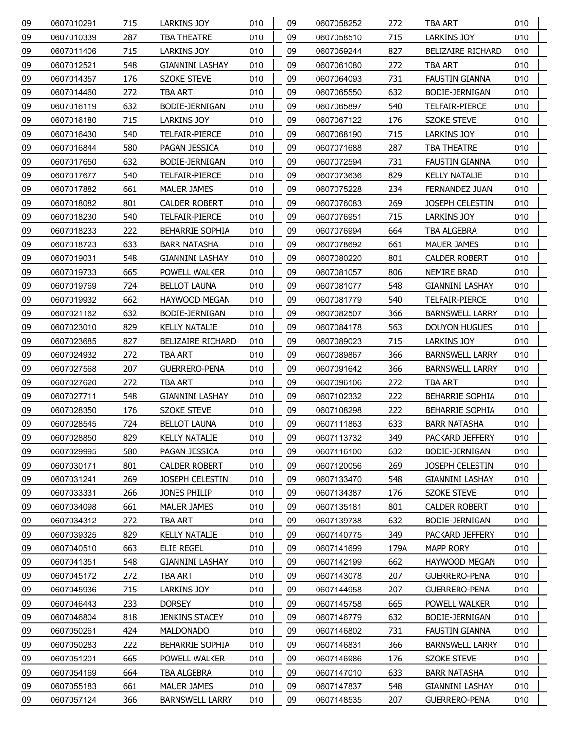| 09 | 0607010291 | 715 | <b>LARKINS JOY</b>       | 010 | 09 | 0607058252 | 272  | <b>TBA ART</b>           | 010 |
|----|------------|-----|--------------------------|-----|----|------------|------|--------------------------|-----|
| 09 | 0607010339 | 287 | <b>TBA THEATRE</b>       | 010 | 09 | 0607058510 | 715  | <b>LARKINS JOY</b>       | 010 |
| 09 | 0607011406 | 715 | LARKINS JOY              | 010 | 09 | 0607059244 | 827  | <b>BELIZAIRE RICHARD</b> | 010 |
| 09 | 0607012521 | 548 | <b>GIANNINI LASHAY</b>   | 010 | 09 | 0607061080 | 272  | <b>TBA ART</b>           | 010 |
| 09 | 0607014357 | 176 | SZOKE STEVE              | 010 | 09 | 0607064093 | 731  | <b>FAUSTIN GIANNA</b>    | 010 |
| 09 | 0607014460 | 272 | <b>TBA ART</b>           | 010 | 09 | 0607065550 | 632  | BODIE-JERNIGAN           | 010 |
| 09 | 0607016119 | 632 | BODIE-JERNIGAN           | 010 | 09 | 0607065897 | 540  | <b>TELFAIR-PIERCE</b>    | 010 |
| 09 | 0607016180 | 715 | LARKINS JOY              | 010 | 09 | 0607067122 | 176  | <b>SZOKE STEVE</b>       | 010 |
| 09 | 0607016430 | 540 | TELFAIR-PIERCE           | 010 | 09 | 0607068190 | 715  | LARKINS JOY              | 010 |
| 09 | 0607016844 | 580 | PAGAN JESSICA            | 010 | 09 | 0607071688 | 287  | TBA THEATRE              | 010 |
| 09 | 0607017650 | 632 | BODIE-JERNIGAN           | 010 | 09 | 0607072594 | 731  | FAUSTIN GIANNA           | 010 |
| 09 | 0607017677 | 540 | TELFAIR-PIERCE           | 010 | 09 | 0607073636 | 829  | <b>KELLY NATALIE</b>     | 010 |
| 09 | 0607017882 | 661 | MAUER JAMES              | 010 | 09 | 0607075228 | 234  | <b>FERNANDEZ JUAN</b>    | 010 |
| 09 | 0607018082 | 801 | <b>CALDER ROBERT</b>     | 010 | 09 | 0607076083 | 269  | JOSEPH CELESTIN          | 010 |
| 09 | 0607018230 | 540 | TELFAIR-PIERCE           | 010 | 09 | 0607076951 | 715  | <b>LARKINS JOY</b>       | 010 |
| 09 | 0607018233 | 222 | BEHARRIE SOPHIA          | 010 | 09 | 0607076994 | 664  | TBA ALGEBRA              | 010 |
| 09 | 0607018723 | 633 | <b>BARR NATASHA</b>      | 010 | 09 | 0607078692 | 661  | MAUER JAMES              | 010 |
| 09 | 0607019031 | 548 | <b>GIANNINI LASHAY</b>   | 010 | 09 | 0607080220 | 801  | <b>CALDER ROBERT</b>     | 010 |
| 09 | 0607019733 | 665 | POWELL WALKER            | 010 | 09 | 0607081057 | 806  | NEMIRE BRAD              | 010 |
| 09 | 0607019769 | 724 | <b>BELLOT LAUNA</b>      | 010 | 09 | 0607081077 | 548  | <b>GIANNINI LASHAY</b>   | 010 |
| 09 | 0607019932 | 662 | HAYWOOD MEGAN            | 010 | 09 | 0607081779 | 540  | <b>TELFAIR-PIERCE</b>    | 010 |
| 09 | 0607021162 | 632 | BODIE-JERNIGAN           | 010 | 09 | 0607082507 | 366  | <b>BARNSWELL LARRY</b>   | 010 |
| 09 | 0607023010 | 829 | <b>KELLY NATALIE</b>     | 010 | 09 | 0607084178 | 563  | <b>DOUYON HUGUES</b>     | 010 |
| 09 | 0607023685 | 827 | <b>BELIZAIRE RICHARD</b> | 010 | 09 | 0607089023 | 715  | <b>LARKINS JOY</b>       | 010 |
| 09 | 0607024932 | 272 | TBA ART                  | 010 | 09 | 0607089867 | 366  | <b>BARNSWELL LARRY</b>   | 010 |
| 09 | 0607027568 | 207 | <b>GUERRERO-PENA</b>     | 010 | 09 | 0607091642 | 366  | <b>BARNSWELL LARRY</b>   | 010 |
| 09 | 0607027620 | 272 | TBA ART                  | 010 | 09 | 0607096106 | 272  | <b>TBA ART</b>           | 010 |
| 09 | 0607027711 | 548 | <b>GIANNINI LASHAY</b>   | 010 | 09 | 0607102332 | 222  | BEHARRIE SOPHIA          | 010 |
| 09 | 0607028350 | 176 | <b>SZOKE STEVE</b>       | 010 | 09 | 0607108298 | 222  | <b>BEHARRIE SOPHIA</b>   | 010 |
| 09 | 0607028545 | 724 | <b>BELLOT LAUNA</b>      | 010 | 09 | 0607111863 | 633  | <b>BARR NATASHA</b>      | 010 |
| 09 | 0607028850 | 829 | <b>KELLY NATALIE</b>     | 010 | 09 | 0607113732 | 349  | PACKARD JEFFERY          | 010 |
| 09 | 0607029995 | 580 | PAGAN JESSICA            | 010 | 09 | 0607116100 | 632  | BODIE-JERNIGAN           | 010 |
| 09 | 0607030171 | 801 | <b>CALDER ROBERT</b>     | 010 | 09 | 0607120056 | 269  | <b>JOSEPH CELESTIN</b>   | 010 |
| 09 | 0607031241 | 269 | JOSEPH CELESTIN          | 010 | 09 | 0607133470 | 548  | <b>GIANNINI LASHAY</b>   | 010 |
| 09 | 0607033331 | 266 | JONES PHILIP             | 010 | 09 | 0607134387 | 176  | SZOKE STEVE              | 010 |
| 09 | 0607034098 | 661 | <b>MAUER JAMES</b>       | 010 | 09 | 0607135181 | 801  | <b>CALDER ROBERT</b>     | 010 |
| 09 | 0607034312 | 272 | TBA ART                  | 010 | 09 | 0607139738 | 632  | BODIE-JERNIGAN           | 010 |
| 09 | 0607039325 | 829 | <b>KELLY NATALIE</b>     | 010 | 09 | 0607140775 | 349  | PACKARD JEFFERY          | 010 |
| 09 | 0607040510 | 663 | <b>ELIE REGEL</b>        | 010 | 09 | 0607141699 | 179A | <b>MAPP RORY</b>         | 010 |
| 09 | 0607041351 | 548 | <b>GIANNINI LASHAY</b>   | 010 | 09 | 0607142199 | 662  | HAYWOOD MEGAN            | 010 |
| 09 | 0607045172 | 272 | TBA ART                  | 010 | 09 | 0607143078 | 207  | <b>GUERRERO-PENA</b>     | 010 |
| 09 | 0607045936 | 715 | LARKINS JOY              | 010 | 09 | 0607144958 | 207  | <b>GUERRERO-PENA</b>     | 010 |
| 09 | 0607046443 | 233 | <b>DORSEY</b>            | 010 | 09 | 0607145758 | 665  | POWELL WALKER            | 010 |
| 09 | 0607046804 | 818 | <b>JENKINS STACEY</b>    | 010 | 09 | 0607146779 | 632  | BODIE-JERNIGAN           | 010 |
| 09 | 0607050261 | 424 | MALDONADO                | 010 | 09 | 0607146802 | 731  | FAUSTIN GIANNA           | 010 |
| 09 | 0607050283 | 222 | <b>BEHARRIE SOPHIA</b>   | 010 | 09 | 0607146831 | 366  | <b>BARNSWELL LARRY</b>   | 010 |
| 09 | 0607051201 | 665 | POWELL WALKER            | 010 | 09 | 0607146986 | 176  | SZOKE STEVE              | 010 |
| 09 | 0607054169 | 664 | TBA ALGEBRA              | 010 | 09 | 0607147010 | 633  | <b>BARR NATASHA</b>      | 010 |
| 09 | 0607055183 | 661 | <b>MAUER JAMES</b>       | 010 | 09 | 0607147837 | 548  | <b>GIANNINI LASHAY</b>   | 010 |
| 09 | 0607057124 | 366 | <b>BARNSWELL LARRY</b>   | 010 | 09 | 0607148535 | 207  | <b>GUERRERO-PENA</b>     | 010 |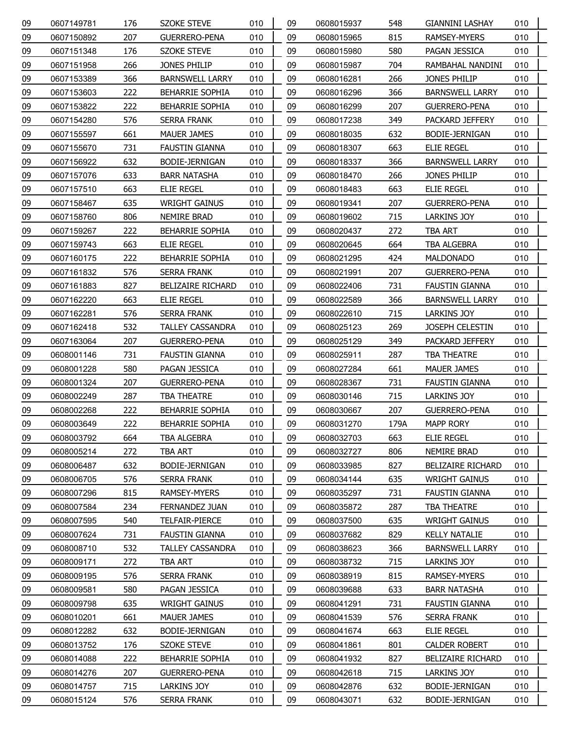| 09 | 0607149781 | 176 | <b>SZOKE STEVE</b>       | 010 | 09 | 0608015937 | 548  | <b>GIANNINI LASHAY</b>   | 010 |
|----|------------|-----|--------------------------|-----|----|------------|------|--------------------------|-----|
| 09 | 0607150892 | 207 | <b>GUERRERO-PENA</b>     | 010 | 09 | 0608015965 | 815  | RAMSEY-MYERS             | 010 |
| 09 | 0607151348 | 176 | SZOKE STEVE              | 010 | 09 | 0608015980 | 580  | PAGAN JESSICA            | 010 |
| 09 | 0607151958 | 266 | JONES PHILIP             | 010 | 09 | 0608015987 | 704  | RAMBAHAL NANDINI         | 010 |
| 09 | 0607153389 | 366 | <b>BARNSWELL LARRY</b>   | 010 | 09 | 0608016281 | 266  | JONES PHILIP             | 010 |
| 09 | 0607153603 | 222 | <b>BEHARRIE SOPHIA</b>   | 010 | 09 | 0608016296 | 366  | <b>BARNSWELL LARRY</b>   | 010 |
| 09 | 0607153822 | 222 | <b>BEHARRIE SOPHIA</b>   | 010 | 09 | 0608016299 | 207  | <b>GUERRERO-PENA</b>     | 010 |
| 09 | 0607154280 | 576 | SERRA FRANK              | 010 | 09 | 0608017238 | 349  | PACKARD JEFFERY          | 010 |
| 09 | 0607155597 | 661 | MAUER JAMES              | 010 | 09 | 0608018035 | 632  | BODIE-JERNIGAN           | 010 |
| 09 | 0607155670 | 731 | FAUSTIN GIANNA           | 010 | 09 | 0608018307 | 663  | <b>ELIE REGEL</b>        | 010 |
| 09 | 0607156922 | 632 | BODIE-JERNIGAN           | 010 | 09 | 0608018337 | 366  | <b>BARNSWELL LARRY</b>   | 010 |
| 09 | 0607157076 | 633 | <b>BARR NATASHA</b>      | 010 | 09 | 0608018470 | 266  | JONES PHILIP             | 010 |
| 09 | 0607157510 | 663 | ELIE REGEL               | 010 | 09 | 0608018483 | 663  | <b>ELIE REGEL</b>        | 010 |
| 09 | 0607158467 | 635 | <b>WRIGHT GAINUS</b>     | 010 | 09 | 0608019341 | 207  | <b>GUERRERO-PENA</b>     | 010 |
| 09 | 0607158760 | 806 | NEMIRE BRAD              | 010 | 09 | 0608019602 | 715  | LARKINS JOY              | 010 |
| 09 | 0607159267 | 222 | <b>BEHARRIE SOPHIA</b>   | 010 | 09 | 0608020437 | 272  | TBA ART                  | 010 |
| 09 | 0607159743 | 663 | <b>ELIE REGEL</b>        | 010 | 09 | 0608020645 | 664  | TBA ALGEBRA              | 010 |
| 09 | 0607160175 | 222 | <b>BEHARRIE SOPHIA</b>   | 010 | 09 | 0608021295 | 424  | <b>MALDONADO</b>         | 010 |
| 09 | 0607161832 | 576 | SERRA FRANK              | 010 | 09 | 0608021991 | 207  | <b>GUERRERO-PENA</b>     | 010 |
| 09 | 0607161883 | 827 | <b>BELIZAIRE RICHARD</b> | 010 | 09 | 0608022406 | 731  | FAUSTIN GIANNA           | 010 |
| 09 | 0607162220 | 663 | <b>ELIE REGEL</b>        | 010 | 09 | 0608022589 | 366  | <b>BARNSWELL LARRY</b>   | 010 |
| 09 | 0607162281 | 576 | SERRA FRANK              | 010 | 09 | 0608022610 | 715  | LARKINS JOY              | 010 |
| 09 | 0607162418 | 532 | <b>TALLEY CASSANDRA</b>  | 010 | 09 | 0608025123 | 269  | <b>JOSEPH CELESTIN</b>   | 010 |
| 09 | 0607163064 | 207 | <b>GUERRERO-PENA</b>     | 010 | 09 | 0608025129 | 349  | PACKARD JEFFERY          | 010 |
| 09 | 0608001146 | 731 | <b>FAUSTIN GIANNA</b>    | 010 | 09 | 0608025911 | 287  | TBA THEATRE              | 010 |
| 09 | 0608001228 | 580 | PAGAN JESSICA            | 010 | 09 | 0608027284 | 661  | MAUER JAMES              | 010 |
| 09 | 0608001324 | 207 | <b>GUERRERO-PENA</b>     | 010 | 09 | 0608028367 | 731  | FAUSTIN GIANNA           | 010 |
| 09 | 0608002249 | 287 | <b>TBA THEATRE</b>       | 010 | 09 | 0608030146 | 715  | LARKINS JOY              | 010 |
| 09 | 0608002268 | 222 | <b>BEHARRIE SOPHIA</b>   | 010 | 09 | 0608030667 | 207  | <b>GUERRERO-PENA</b>     | 010 |
| 09 | 0608003649 | 222 | <b>BEHARRIE SOPHIA</b>   | 010 | 09 | 0608031270 | 179A | <b>MAPP RORY</b>         | 010 |
| 09 | 0608003792 | 664 | TBA ALGEBRA              | 010 | 09 | 0608032703 | 663  | <b>ELIE REGEL</b>        | 010 |
| 09 | 0608005214 | 272 | <b>TBA ART</b>           | 010 | 09 | 0608032727 | 806  | NEMIRE BRAD              | 010 |
| 09 | 0608006487 | 632 | BODIE-JERNIGAN           | 010 | 09 | 0608033985 | 827  | <b>BELIZAIRE RICHARD</b> | 010 |
| 09 | 0608006705 | 576 | <b>SERRA FRANK</b>       | 010 | 09 | 0608034144 | 635  | <b>WRIGHT GAINUS</b>     | 010 |
| 09 | 0608007296 | 815 | RAMSEY-MYERS             | 010 | 09 | 0608035297 | 731  | <b>FAUSTIN GIANNA</b>    | 010 |
| 09 | 0608007584 | 234 | <b>FERNANDEZ JUAN</b>    | 010 | 09 | 0608035872 | 287  | TBA THEATRE              | 010 |
| 09 | 0608007595 | 540 | TELFAIR-PIERCE           | 010 | 09 | 0608037500 | 635  | <b>WRIGHT GAINUS</b>     | 010 |
| 09 | 0608007624 | 731 | <b>FAUSTIN GIANNA</b>    | 010 | 09 | 0608037682 | 829  | <b>KELLY NATALIE</b>     | 010 |
| 09 | 0608008710 | 532 | <b>TALLEY CASSANDRA</b>  | 010 | 09 | 0608038623 | 366  | <b>BARNSWELL LARRY</b>   | 010 |
| 09 | 0608009171 | 272 | TBA ART                  | 010 | 09 | 0608038732 | 715  | LARKINS JOY              | 010 |
| 09 | 0608009195 | 576 | SERRA FRANK              | 010 | 09 | 0608038919 | 815  | RAMSEY-MYERS             | 010 |
| 09 | 0608009581 | 580 | PAGAN JESSICA            | 010 | 09 | 0608039688 | 633  | <b>BARR NATASHA</b>      | 010 |
| 09 | 0608009798 | 635 | <b>WRIGHT GAINUS</b>     | 010 | 09 | 0608041291 | 731  | <b>FAUSTIN GIANNA</b>    | 010 |
| 09 | 0608010201 | 661 | MAUER JAMES              | 010 | 09 | 0608041539 | 576  | SERRA FRANK              | 010 |
| 09 | 0608012282 | 632 | BODIE-JERNIGAN           | 010 | 09 | 0608041674 | 663  | ELIE REGEL               | 010 |
| 09 | 0608013752 | 176 | <b>SZOKE STEVE</b>       | 010 | 09 | 0608041861 | 801  | <b>CALDER ROBERT</b>     | 010 |
| 09 | 0608014088 | 222 | <b>BEHARRIE SOPHIA</b>   | 010 | 09 | 0608041932 | 827  | <b>BELIZAIRE RICHARD</b> | 010 |
| 09 | 0608014276 | 207 | <b>GUERRERO-PENA</b>     | 010 | 09 | 0608042618 | 715  | LARKINS JOY              | 010 |
| 09 | 0608014757 | 715 | LARKINS JOY              | 010 | 09 | 0608042876 | 632  | BODIE-JERNIGAN           | 010 |
| 09 | 0608015124 | 576 | <b>SERRA FRANK</b>       | 010 | 09 | 0608043071 | 632  | BODIE-JERNIGAN           | 010 |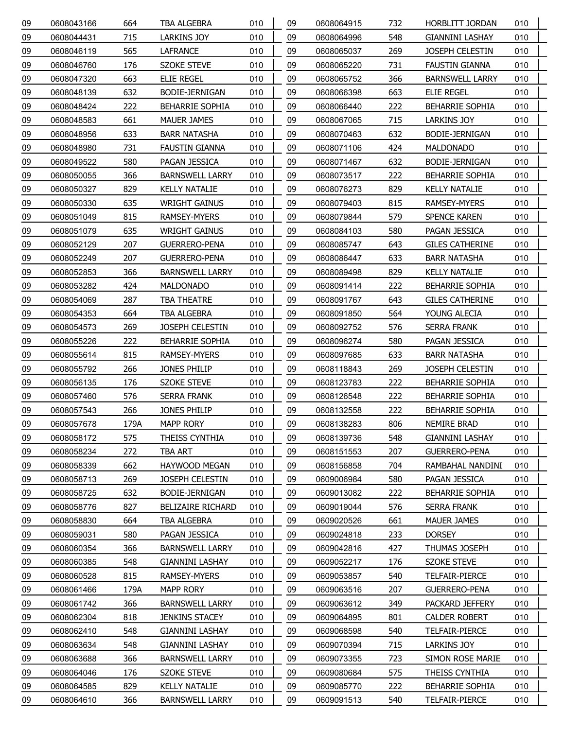| 09 | 0608043166 | 664  | <b>TBA ALGEBRA</b>       | 010 | 09 | 0608064915 | 732 | HORBLITT JORDAN        | 010 |
|----|------------|------|--------------------------|-----|----|------------|-----|------------------------|-----|
| 09 | 0608044431 | 715  | <b>LARKINS JOY</b>       | 010 | 09 | 0608064996 | 548 | <b>GIANNINI LASHAY</b> | 010 |
| 09 | 0608046119 | 565  | LAFRANCE                 | 010 | 09 | 0608065037 | 269 | JOSEPH CELESTIN        | 010 |
| 09 | 0608046760 | 176  | <b>SZOKE STEVE</b>       | 010 | 09 | 0608065220 | 731 | <b>FAUSTIN GIANNA</b>  | 010 |
| 09 | 0608047320 | 663  | <b>ELIE REGEL</b>        | 010 | 09 | 0608065752 | 366 | <b>BARNSWELL LARRY</b> | 010 |
| 09 | 0608048139 | 632  | BODIE-JERNIGAN           | 010 | 09 | 0608066398 | 663 | <b>ELIE REGEL</b>      | 010 |
| 09 | 0608048424 | 222  | <b>BEHARRIE SOPHIA</b>   | 010 | 09 | 0608066440 | 222 | BEHARRIE SOPHIA        | 010 |
| 09 | 0608048583 | 661  | MAUER JAMES              | 010 | 09 | 0608067065 | 715 | <b>LARKINS JOY</b>     | 010 |
| 09 | 0608048956 | 633  | <b>BARR NATASHA</b>      | 010 | 09 | 0608070463 | 632 | BODIE-JERNIGAN         | 010 |
| 09 | 0608048980 | 731  | <b>FAUSTIN GIANNA</b>    | 010 | 09 | 0608071106 | 424 | <b>MALDONADO</b>       | 010 |
| 09 | 0608049522 | 580  | PAGAN JESSICA            | 010 | 09 | 0608071467 | 632 | BODIE-JERNIGAN         | 010 |
| 09 | 0608050055 | 366  | <b>BARNSWELL LARRY</b>   | 010 | 09 | 0608073517 | 222 | <b>BEHARRIE SOPHIA</b> | 010 |
| 09 | 0608050327 | 829  | <b>KELLY NATALIE</b>     | 010 | 09 | 0608076273 | 829 | <b>KELLY NATALIE</b>   | 010 |
| 09 | 0608050330 | 635  | <b>WRIGHT GAINUS</b>     | 010 | 09 | 0608079403 | 815 | RAMSEY-MYERS           | 010 |
| 09 | 0608051049 | 815  | RAMSEY-MYERS             | 010 | 09 | 0608079844 | 579 | <b>SPENCE KAREN</b>    | 010 |
| 09 | 0608051079 | 635  | <b>WRIGHT GAINUS</b>     | 010 | 09 | 0608084103 | 580 | PAGAN JESSICA          | 010 |
| 09 | 0608052129 | 207  | <b>GUERRERO-PENA</b>     | 010 | 09 | 0608085747 | 643 | <b>GILES CATHERINE</b> | 010 |
| 09 | 0608052249 | 207  | <b>GUERRERO-PENA</b>     | 010 | 09 | 0608086447 | 633 | <b>BARR NATASHA</b>    | 010 |
| 09 | 0608052853 | 366  | <b>BARNSWELL LARRY</b>   | 010 | 09 | 0608089498 | 829 | <b>KELLY NATALIE</b>   | 010 |
| 09 | 0608053282 | 424  | <b>MALDONADO</b>         | 010 | 09 | 0608091414 | 222 | <b>BEHARRIE SOPHIA</b> | 010 |
| 09 | 0608054069 | 287  | <b>TBA THEATRE</b>       | 010 | 09 | 0608091767 | 643 | <b>GILES CATHERINE</b> | 010 |
| 09 | 0608054353 | 664  | TBA ALGEBRA              | 010 | 09 | 0608091850 | 564 | YOUNG ALECIA           | 010 |
| 09 | 0608054573 | 269  | <b>JOSEPH CELESTIN</b>   | 010 | 09 | 0608092752 | 576 | SERRA FRANK            | 010 |
| 09 | 0608055226 | 222  | BEHARRIE SOPHIA          | 010 | 09 | 0608096274 | 580 | PAGAN JESSICA          | 010 |
| 09 | 0608055614 | 815  | RAMSEY-MYERS             | 010 | 09 | 0608097685 | 633 | <b>BARR NATASHA</b>    | 010 |
| 09 | 0608055792 | 266  | JONES PHILIP             | 010 | 09 | 0608118843 | 269 | JOSEPH CELESTIN        | 010 |
| 09 | 0608056135 | 176  | <b>SZOKE STEVE</b>       | 010 | 09 | 0608123783 | 222 | <b>BEHARRIE SOPHIA</b> | 010 |
| 09 | 0608057460 | 576  | <b>SERRA FRANK</b>       | 010 | 09 | 0608126548 | 222 | <b>BEHARRIE SOPHIA</b> | 010 |
| 09 | 0608057543 | 266  | JONES PHILIP             | 010 | 09 | 0608132558 | 222 | <b>BEHARRIE SOPHIA</b> | 010 |
| 09 | 0608057678 | 179A | <b>MAPP RORY</b>         | 010 | 09 | 0608138283 | 806 | NEMIRE BRAD            | 010 |
| 09 | 0608058172 | 575  | THEISS CYNTHIA           | 010 | 09 | 0608139736 | 548 | <b>GIANNINI LASHAY</b> | 010 |
| 09 | 0608058234 | 272  | <b>TBA ART</b>           | 010 | 09 | 0608151553 | 207 | <b>GUERRERO-PENA</b>   | 010 |
| 09 | 0608058339 | 662  | HAYWOOD MEGAN            | 010 | 09 | 0608156858 | 704 | RAMBAHAL NANDINI       | 010 |
| 09 | 0608058713 | 269  | JOSEPH CELESTIN          | 010 | 09 | 0609006984 | 580 | PAGAN JESSICA          | 010 |
| 09 | 0608058725 | 632  | BODIE-JERNIGAN           | 010 | 09 | 0609013082 | 222 | <b>BEHARRIE SOPHIA</b> | 010 |
| 09 | 0608058776 | 827  | <b>BELIZAIRE RICHARD</b> | 010 | 09 | 0609019044 | 576 | SERRA FRANK            | 010 |
| 09 | 0608058830 | 664  | TBA ALGEBRA              | 010 | 09 | 0609020526 | 661 | MAUER JAMES            | 010 |
| 09 | 0608059031 | 580  | PAGAN JESSICA            | 010 | 09 | 0609024818 | 233 | <b>DORSEY</b>          | 010 |
| 09 | 0608060354 | 366  | <b>BARNSWELL LARRY</b>   | 010 | 09 | 0609042816 | 427 | THUMAS JOSEPH          | 010 |
| 09 | 0608060385 | 548  | GIANNINI LASHAY          | 010 | 09 | 0609052217 | 176 | SZOKE STEVE            | 010 |
| 09 | 0608060528 | 815  | RAMSEY-MYERS             | 010 | 09 | 0609053857 | 540 | TELFAIR-PIERCE         | 010 |
| 09 | 0608061466 | 179A | <b>MAPP RORY</b>         | 010 | 09 | 0609063516 | 207 | <b>GUERRERO-PENA</b>   | 010 |
| 09 | 0608061742 | 366  | <b>BARNSWELL LARRY</b>   | 010 | 09 | 0609063612 | 349 | PACKARD JEFFERY        | 010 |
| 09 | 0608062304 | 818  | <b>JENKINS STACEY</b>    | 010 | 09 | 0609064895 | 801 | <b>CALDER ROBERT</b>   | 010 |
| 09 | 0608062410 | 548  | <b>GIANNINI LASHAY</b>   | 010 | 09 | 0609068598 | 540 | TELFAIR-PIERCE         | 010 |
| 09 | 0608063634 | 548  | GIANNINI LASHAY          | 010 | 09 | 0609070394 | 715 | LARKINS JOY            | 010 |
| 09 | 0608063688 | 366  | <b>BARNSWELL LARRY</b>   | 010 | 09 | 0609073355 | 723 | SIMON ROSE MARIE       | 010 |
| 09 | 0608064046 | 176  | <b>SZOKE STEVE</b>       | 010 | 09 | 0609080684 | 575 | THEISS CYNTHIA         | 010 |
| 09 | 0608064585 | 829  | <b>KELLY NATALIE</b>     | 010 | 09 | 0609085770 | 222 | <b>BEHARRIE SOPHIA</b> | 010 |
| 09 | 0608064610 | 366  | <b>BARNSWELL LARRY</b>   | 010 | 09 | 0609091513 | 540 | <b>TELFAIR-PIERCE</b>  | 010 |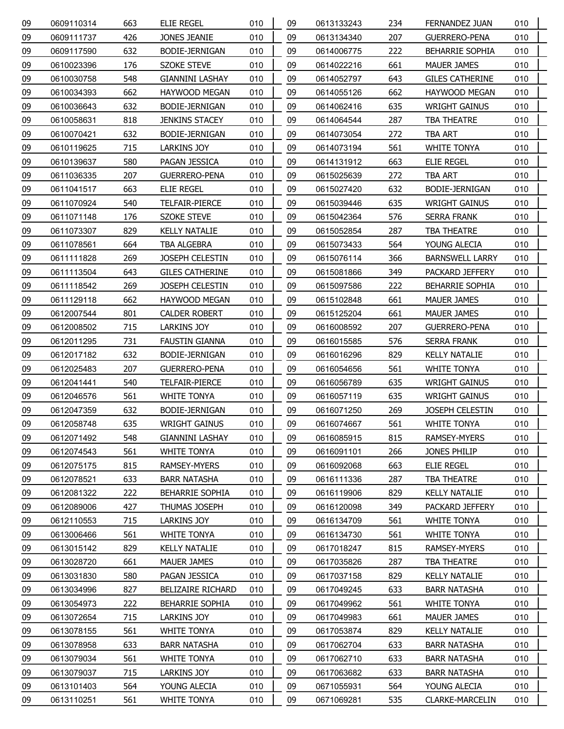| 09 | 0609110314 | 663 | <b>ELIE REGEL</b>        | 010 | 09 | 0613133243 | 234 | FERNANDEZ JUAN         | 010 |
|----|------------|-----|--------------------------|-----|----|------------|-----|------------------------|-----|
| 09 | 0609111737 | 426 | JONES JEANIE             | 010 | 09 | 0613134340 | 207 | <b>GUERRERO-PENA</b>   | 010 |
| 09 | 0609117590 | 632 | BODIE-JERNIGAN           | 010 | 09 | 0614006775 | 222 | <b>BEHARRIE SOPHIA</b> | 010 |
| 09 | 0610023396 | 176 | <b>SZOKE STEVE</b>       | 010 | 09 | 0614022216 | 661 | MAUER JAMES            | 010 |
| 09 | 0610030758 | 548 | <b>GIANNINI LASHAY</b>   | 010 | 09 | 0614052797 | 643 | <b>GILES CATHERINE</b> | 010 |
| 09 | 0610034393 | 662 | HAYWOOD MEGAN            | 010 | 09 | 0614055126 | 662 | <b>HAYWOOD MEGAN</b>   | 010 |
| 09 | 0610036643 | 632 | BODIE-JERNIGAN           | 010 | 09 | 0614062416 | 635 | <b>WRIGHT GAINUS</b>   | 010 |
| 09 | 0610058631 | 818 | <b>JENKINS STACEY</b>    | 010 | 09 | 0614064544 | 287 | TBA THEATRE            | 010 |
| 09 | 0610070421 | 632 | BODIE-JERNIGAN           | 010 | 09 | 0614073054 | 272 | TBA ART                | 010 |
| 09 | 0610119625 | 715 | LARKINS JOY              | 010 | 09 | 0614073194 | 561 | <b>WHITE TONYA</b>     | 010 |
| 09 | 0610139637 | 580 | PAGAN JESSICA            | 010 | 09 | 0614131912 | 663 | ELIE REGEL             | 010 |
| 09 | 0611036335 | 207 | <b>GUERRERO-PENA</b>     | 010 | 09 | 0615025639 | 272 | TBA ART                | 010 |
| 09 | 0611041517 | 663 | ELIE REGEL               | 010 | 09 | 0615027420 | 632 | BODIE-JERNIGAN         | 010 |
| 09 | 0611070924 | 540 | TELFAIR-PIERCE           | 010 | 09 | 0615039446 | 635 | <b>WRIGHT GAINUS</b>   | 010 |
| 09 | 0611071148 | 176 | SZOKE STEVE              | 010 | 09 | 0615042364 | 576 | SERRA FRANK            | 010 |
| 09 | 0611073307 | 829 | <b>KELLY NATALIE</b>     | 010 | 09 | 0615052854 | 287 | TBA THEATRE            | 010 |
| 09 | 0611078561 | 664 | TBA ALGEBRA              | 010 | 09 | 0615073433 | 564 | YOUNG ALECIA           | 010 |
| 09 | 0611111828 | 269 | JOSEPH CELESTIN          | 010 | 09 | 0615076114 | 366 | <b>BARNSWELL LARRY</b> | 010 |
| 09 | 0611113504 | 643 | <b>GILES CATHERINE</b>   | 010 | 09 | 0615081866 | 349 | PACKARD JEFFERY        | 010 |
| 09 | 0611118542 | 269 | JOSEPH CELESTIN          | 010 | 09 | 0615097586 | 222 | BEHARRIE SOPHIA        | 010 |
| 09 | 0611129118 | 662 | HAYWOOD MEGAN            | 010 | 09 | 0615102848 | 661 | MAUER JAMES            | 010 |
| 09 | 0612007544 | 801 | <b>CALDER ROBERT</b>     | 010 | 09 | 0615125204 | 661 | MAUER JAMES            | 010 |
| 09 | 0612008502 | 715 | LARKINS JOY              | 010 | 09 | 0616008592 | 207 | <b>GUERRERO-PENA</b>   | 010 |
| 09 | 0612011295 | 731 | FAUSTIN GIANNA           | 010 | 09 | 0616015585 | 576 | SERRA FRANK            | 010 |
| 09 | 0612017182 | 632 | BODIE-JERNIGAN           | 010 | 09 | 0616016296 | 829 | <b>KELLY NATALIE</b>   | 010 |
| 09 | 0612025483 | 207 | <b>GUERRERO-PENA</b>     | 010 | 09 | 0616054656 | 561 | <b>WHITE TONYA</b>     | 010 |
| 09 | 0612041441 | 540 | TELFAIR-PIERCE           | 010 | 09 | 0616056789 | 635 | <b>WRIGHT GAINUS</b>   | 010 |
| 09 | 0612046576 | 561 | WHITE TONYA              | 010 | 09 | 0616057119 | 635 | <b>WRIGHT GAINUS</b>   | 010 |
| 09 | 0612047359 | 632 | BODIE-JERNIGAN           | 010 | 09 | 0616071250 | 269 | JOSEPH CELESTIN        | 010 |
| 09 | 0612058748 | 635 | <b>WRIGHT GAINUS</b>     | 010 | 09 | 0616074667 | 561 | <b>WHITE TONYA</b>     | 010 |
| 09 | 0612071492 | 548 | <b>GIANNINI LASHAY</b>   | 010 | 09 | 0616085915 | 815 | RAMSEY-MYERS           | 010 |
| 09 | 0612074543 | 561 | <b>WHITE TONYA</b>       | 010 | 09 | 0616091101 | 266 | JONES PHILIP           | 010 |
| 09 | 0612075175 | 815 | RAMSEY-MYERS             | 010 | 09 | 0616092068 | 663 | ELIE REGEL             | 010 |
| 09 | 0612078521 | 633 | <b>BARR NATASHA</b>      | 010 | 09 | 0616111336 | 287 | TBA THEATRE            | 010 |
| 09 | 0612081322 | 222 | <b>BEHARRIE SOPHIA</b>   | 010 | 09 | 0616119906 | 829 | <b>KELLY NATALIE</b>   | 010 |
| 09 | 0612089006 | 427 | THUMAS JOSEPH            | 010 | 09 | 0616120098 | 349 | PACKARD JEFFERY        | 010 |
| 09 | 0612110553 | 715 | LARKINS JOY              | 010 | 09 | 0616134709 | 561 | <b>WHITE TONYA</b>     | 010 |
| 09 | 0613006466 | 561 | <b>WHITE TONYA</b>       | 010 | 09 | 0616134730 | 561 | <b>WHITE TONYA</b>     | 010 |
| 09 | 0613015142 | 829 | <b>KELLY NATALIE</b>     | 010 | 09 | 0617018247 | 815 | RAMSEY-MYERS           | 010 |
| 09 | 0613028720 | 661 | MAUER JAMES              | 010 | 09 | 0617035826 | 287 | TBA THEATRE            | 010 |
| 09 | 0613031830 | 580 | PAGAN JESSICA            | 010 | 09 | 0617037158 | 829 | <b>KELLY NATALIE</b>   | 010 |
| 09 | 0613034996 | 827 | <b>BELIZAIRE RICHARD</b> | 010 | 09 | 0617049245 | 633 | <b>BARR NATASHA</b>    | 010 |
| 09 | 0613054973 | 222 | <b>BEHARRIE SOPHIA</b>   | 010 | 09 | 0617049962 | 561 | <b>WHITE TONYA</b>     | 010 |
| 09 | 0613072654 | 715 | LARKINS JOY              | 010 | 09 | 0617049983 | 661 | MAUER JAMES            | 010 |
| 09 | 0613078155 | 561 | WHITE TONYA              | 010 | 09 | 0617053874 | 829 | <b>KELLY NATALIE</b>   | 010 |
| 09 | 0613078958 | 633 | <b>BARR NATASHA</b>      | 010 | 09 | 0617062704 | 633 | <b>BARR NATASHA</b>    | 010 |
| 09 | 0613079034 | 561 | WHITE TONYA              | 010 | 09 | 0617062710 | 633 | <b>BARR NATASHA</b>    | 010 |
| 09 | 0613079037 | 715 | LARKINS JOY              | 010 | 09 | 0617063682 | 633 | <b>BARR NATASHA</b>    | 010 |
| 09 | 0613101403 | 564 | YOUNG ALECIA             | 010 | 09 | 0671055931 | 564 | YOUNG ALECIA           | 010 |
| 09 | 0613110251 | 561 | WHITE TONYA              | 010 | 09 | 0671069281 | 535 | CLARKE-MARCELIN        | 010 |